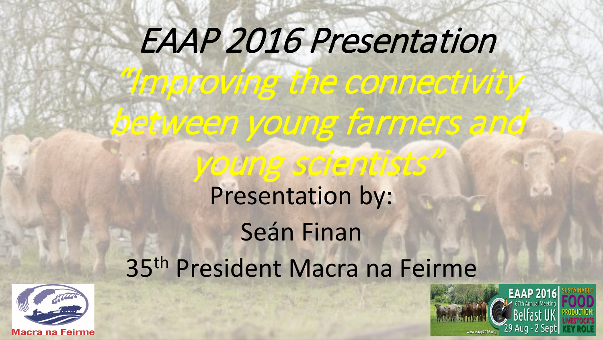# EAAP 2016 Presentation

"Improving the connectivity

between young farmers and

young scientists"

# Presentation by: Seán Finan 35th President Macra na Feirme



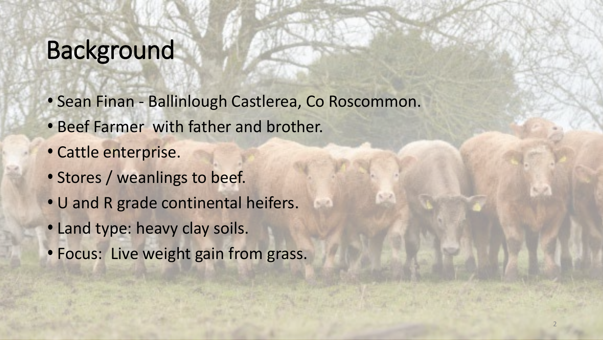## Background

- Sean Finan Ballinlough Castlerea, Co Roscommon.
- Beef Farmer with father and brother.
- Cattle enterprise.
- Stores / weanlings to beef.
- U and R grade continental heifers.
- Land type: heavy clay soils.
- Focus: Live weight gain from grass.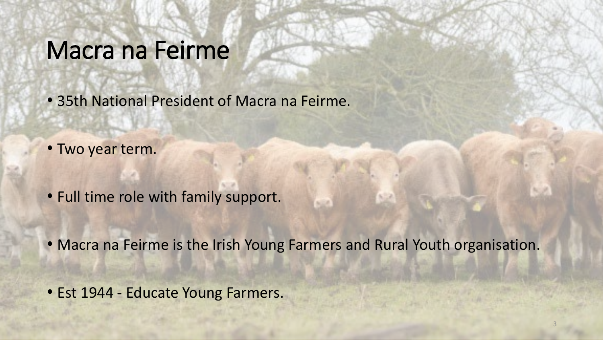### Macra na Feirme

- 35th National President of Macra na Feirme.
- Two year term.
- Full time role with family support.
- Macra na Feirme is the Irish Young Farmers and Rural Youth organisation.
- Est 1944 Educate Young Farmers.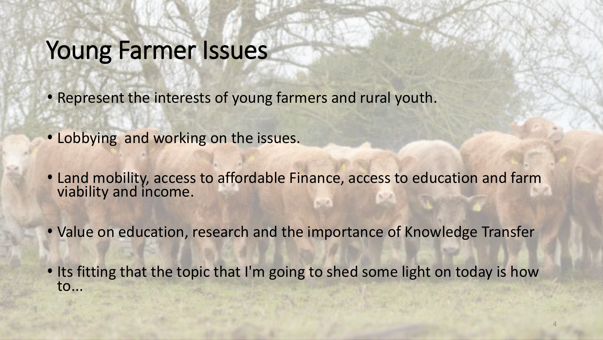### Young Farmer Issues

- Represent the interests of young farmers and rural youth.
- Lobbying and working on the issues.
- Land mobility, access to affordable Finance, access to education and farm viability and income.
- Value on education, research and the importance of Knowledge Transfer
- Its fitting that the topic that I'm going to shed some light on today is how to...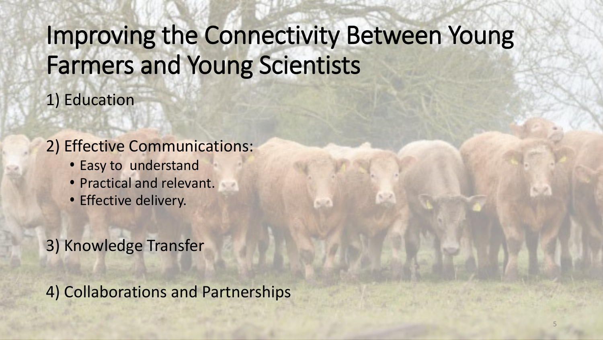# Improving the Connectivity Between Young Farmers and Young Scientists

1) Education

#### 2) Effective Communications:

- Easy to understand
- Practical and relevant.
- Effective delivery.
- 3) Knowledge Transfer

4) Collaborations and Partnerships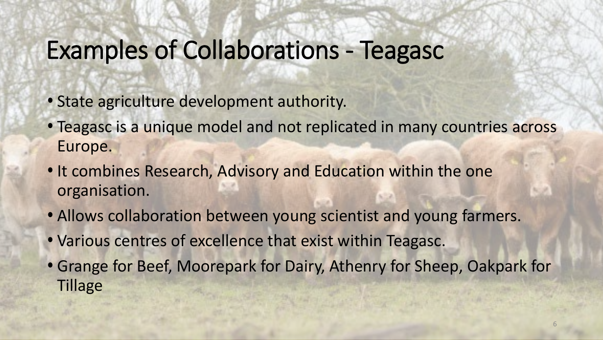# Examples of Collaborations - Teagasc

- State agriculture development authority.
- Teagasc is a unique model and not replicated in many countries across Europe.
- It combines Research, Advisory and Education within the one organisation.
- Allows collaboration between young scientist and young farmers.
- Various centres of excellence that exist within Teagasc.
- Grange for Beef, Moorepark for Dairy, Athenry for Sheep, Oakpark for **Tillage**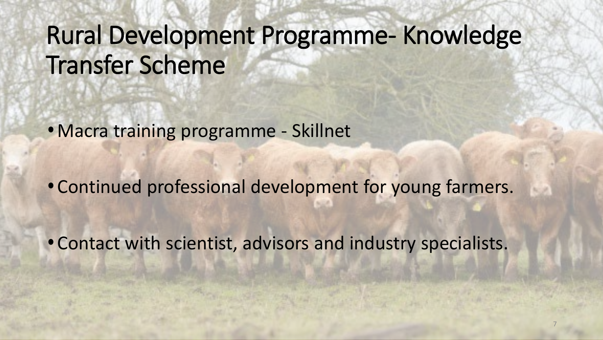# Rural Development Programme- Knowledge Transfer Scheme

• Macra training programme - Skillnet

• Continued professional development for young farmers.

• Contact with scientist, advisors and industry specialists.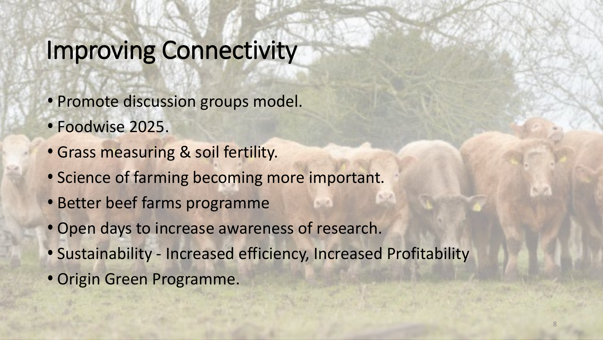### Improving Connectivity

- Promote discussion groups model.
- Foodwise 2025.
- Grass measuring & soil fertility.
- Science of farming becoming more important.
- Better beef farms programme
- Open days to increase awareness of research.
- Sustainability Increased efficiency, Increased Profitability
- Origin Green Programme.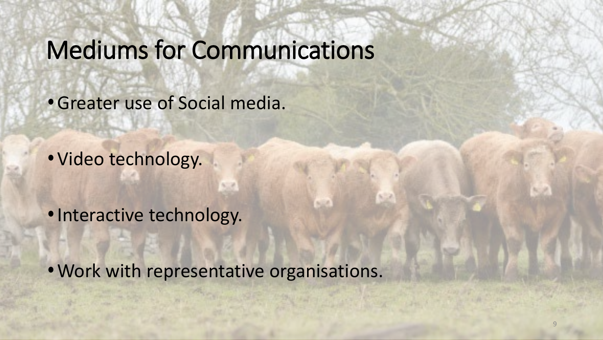## Mediums for Communications

• Greater use of Social media.

• Video technology.

• Interactive technology.

• Work with representative organisations.